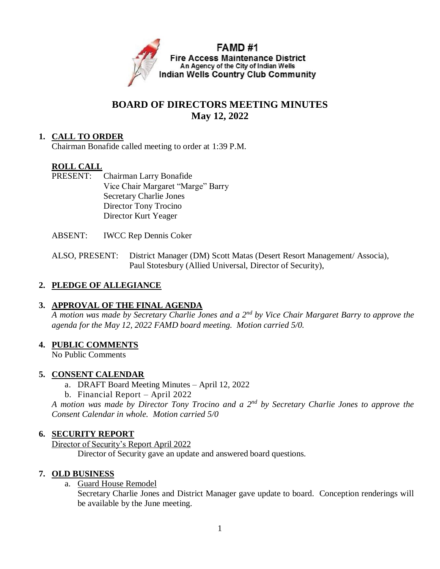

# **BOARD OF DIRECTORS MEETING MINUTES May 12, 2022**

## **1. CALL TO ORDER**

Chairman Bonafide called meeting to order at 1:39 P.M.

## **ROLL CALL**

- PRESENT: Chairman Larry Bonafide Vice Chair Margaret "Marge" Barry Secretary Charlie Jones Director Tony Trocino Director Kurt Yeager
- ABSENT: IWCC Rep Dennis Coker
- ALSO, PRESENT: District Manager (DM) Scott Matas (Desert Resort Management/ Associa), Paul Stotesbury (Allied Universal, Director of Security),

## **2. PLEDGE OF ALLEGIANCE**

## **3. APPROVAL OF THE FINAL AGENDA**

*A motion was made by Secretary Charlie Jones and a 2nd by Vice Chair Margaret Barry to approve the agenda for the May 12, 2022 FAMD board meeting. Motion carried 5/0.*

## **4. PUBLIC COMMENTS**

No Public Comments

## **5. CONSENT CALENDAR**

- a. DRAFT Board Meeting Minutes April 12, 2022
- b. Financial Report April 2022

*A motion was made by Director Tony Trocino and a 2nd by Secretary Charlie Jones to approve the Consent Calendar in whole. Motion carried 5/0*

#### **6. SECURITY REPORT**

Director of Security's Report April 2022

Director of Security gave an update and answered board questions.

#### **7. OLD BUSINESS**

a. Guard House Remodel

Secretary Charlie Jones and District Manager gave update to board. Conception renderings will be available by the June meeting.